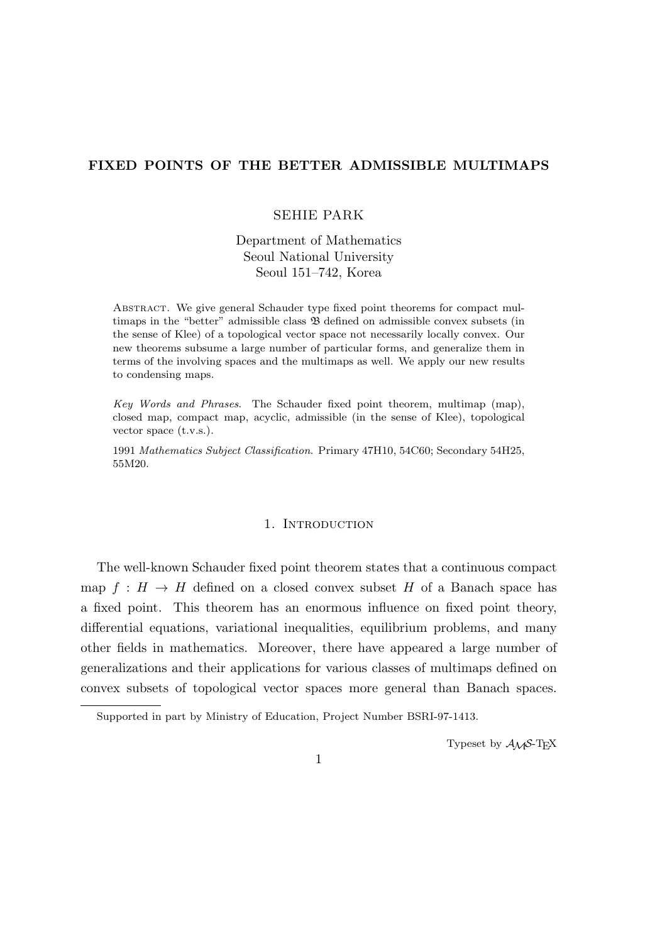# **FIXED POINTS OF THE BETTER ADMISSIBLE MULTIMAPS**

## SEHIE PARK

Department of Mathematics Seoul National University Seoul 151–742, Korea

Abstract. We give general Schauder type fixed point theorems for compact multimaps in the "better" admissible class B defined on admissible convex subsets (in the sense of Klee) of a topological vector space not necessarily locally convex. Our new theorems subsume a large number of particular forms, and generalize them in terms of the involving spaces and the multimaps as well. We apply our new results to condensing maps.

*Key Words and Phrases*. The Schauder fixed point theorem, multimap (map), closed map, compact map, acyclic, admissible (in the sense of Klee), topological vector space (t.v.s.).

1991 *Mathematics Subject Classification*. Primary 47H10, 54C60; Secondary 54H25, 55M20.

### 1. INTRODUCTION

The well-known Schauder fixed point theorem states that a continuous compact map  $f : H \to H$  defined on a closed convex subset *H* of a Banach space has a fixed point. This theorem has an enormous influence on fixed point theory, differential equations, variational inequalities, equilibrium problems, and many other fields in mathematics. Moreover, there have appeared a large number of generalizations and their applications for various classes of multimaps defined on convex subsets of topological vector spaces more general than Banach spaces.

Typeset by  $\mathcal{A}_{\mathcal{M}}\mathcal{S}\text{-}\mathrm{Tr}X$ 

1

Supported in part by Ministry of Education, Project Number BSRI-97-1413.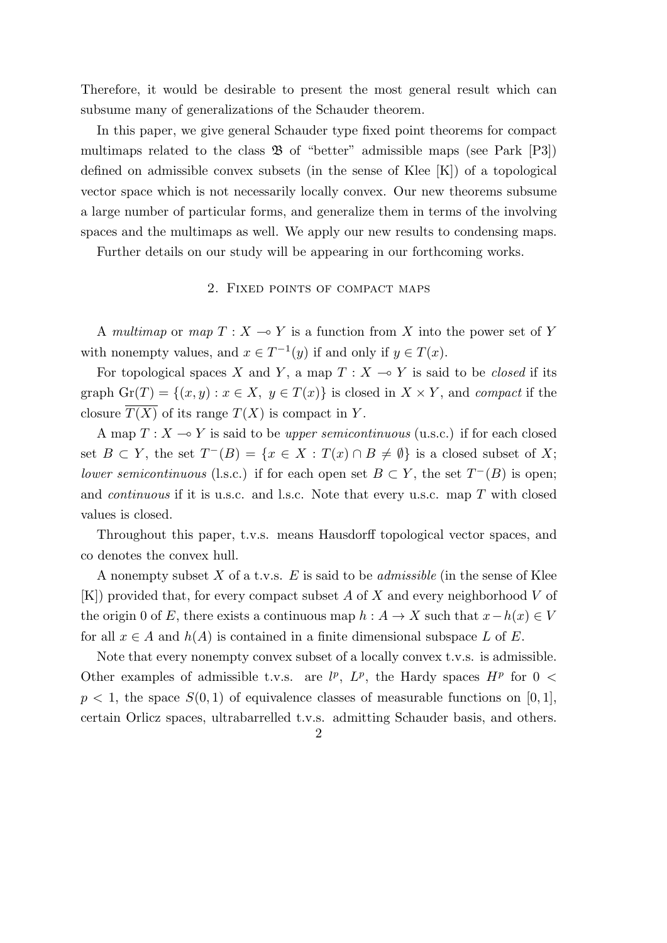Therefore, it would be desirable to present the most general result which can subsume many of generalizations of the Schauder theorem.

In this paper, we give general Schauder type fixed point theorems for compact multimaps related to the class  $\mathfrak{B}$  of "better" admissible maps (see Park [P3]) defined on admissible convex subsets (in the sense of Klee [K]) of a topological vector space which is not necessarily locally convex. Our new theorems subsume a large number of particular forms, and generalize them in terms of the involving spaces and the multimaps as well. We apply our new results to condensing maps.

Further details on our study will be appearing in our forthcoming works.

### 2. Fixed points of compact maps

A *multimap* or *map*  $T: X \to Y$  is a function from X into the power set of Y with nonempty values, and  $x \in T^{-1}(y)$  if and only if  $y \in T(x)$ .

For topological spaces *X* and *Y*, a map  $T : X \rightarrow Y$  is said to be *closed* if its graph  $\text{Gr}(T) = \{(x, y) : x \in X, y \in T(x)\}\$ is closed in  $X \times Y$ , and *compact* if the closure  $\overline{T(X)}$  of its range  $T(X)$  is compact in *Y*.

A map  $T: X \to Y$  is said to be *upper semicontinuous* (u.s.c.) if for each closed set  $B \subset Y$ , the set  $T^{-}(B) = \{x \in X : T(x) \cap B \neq \emptyset\}$  is a closed subset of X; *lower semicontinuous* (l.s.c.) if for each open set  $B \subset Y$ , the set  $T^{-}(B)$  is open; and *continuous* if it is u.s.c. and l.s.c. Note that every u.s.c. map *T* with closed values is closed.

Throughout this paper, t.v.s. means Hausdorff topological vector spaces, and co denotes the convex hull.

A nonempty subset *X* of a t.v.s. *E* is said to be *admissible* (in the sense of Klee [K]) provided that, for every compact subset *A* of *X* and every neighborhood *V* of the origin 0 of *E*, there exists a continuous map  $h : A \to X$  such that  $x - h(x) \in V$ for all  $x \in A$  and  $h(A)$  is contained in a finite dimensional subspace L of E.

Note that every nonempty convex subset of a locally convex t.v.s. is admissible. Other examples of admissible t.v.s. are  $l^p$ ,  $L^p$ , the Hardy spaces  $H^p$  for  $0 <$  $p < 1$ , the space  $S(0, 1)$  of equivalence classes of measurable functions on [0, 1], certain Orlicz spaces, ultrabarrelled t.v.s. admitting Schauder basis, and others.

2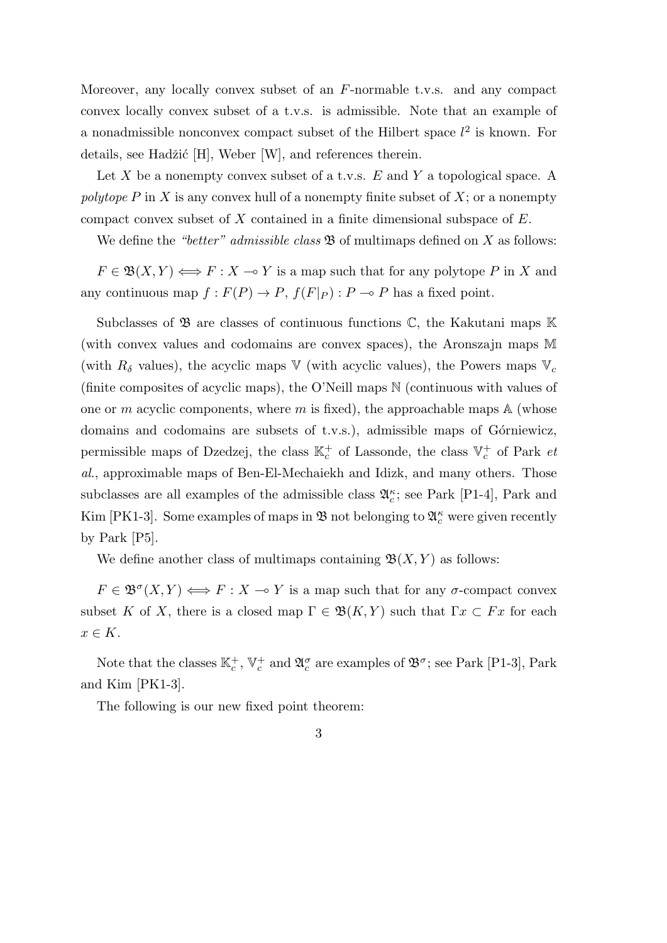Moreover, any locally convex subset of an *F*-normable t.v.s. and any compact convex locally convex subset of a t.v.s. is admissible. Note that an example of a nonadmissible nonconvex compact subset of the Hilbert space  $l^2$  is known. For details, see Hadžić  $[H]$ , Weber  $[W]$ , and references therein.

Let *X* be a nonempty convex subset of a t.v.s. *E* and *Y* a topological space. A *polytope P* in *X* is any convex hull of a nonempty finite subset of *X*; or a nonempty compact convex subset of *X* contained in a finite dimensional subspace of *E*.

We define the *"better" admissible class*  $\mathfrak{B}$  of multimaps defined on *X* as follows:

 $F \in \mathfrak{B}(X, Y) \Longleftrightarrow F : X \to Y$  is a map such that for any polytope *P* in *X* and any continuous map  $f: F(P) \to P$ ,  $f(F|_P): P \to P$  has a fixed point.

Subclasses of  $\mathfrak{B}$  are classes of continuous functions  $\mathbb{C}$ , the Kakutani maps  $\mathbb K$ (with convex values and codomains are convex spaces), the Aronszajn maps M (with  $R_\delta$  values), the acyclic maps V (with acyclic values), the Powers maps  $V_c$ (finite composites of acyclic maps), the O'Neill maps N (continuous with values of one or *m* acyclic components, where *m* is fixed), the approachable maps A (whose domains and codomains are subsets of t.v.s.), admissible maps of Górniewicz, permissible maps of Dzedzej, the class  $\mathbb{K}_c^+$  of Lassonde, the class  $\mathbb{V}_c^+$  of Park *et al*., approximable maps of Ben-El-Mechaiekh and Idizk, and many others. Those subclasses are all examples of the admissible class  $\mathfrak{A}_{c}^{\kappa}$ ; see Park [P1-4], Park and Kim [PK1-3]. Some examples of maps in  $\mathfrak{B}$  not belonging to  $\mathfrak{A}_{c}^{\kappa}$  were given recently by Park [P5].

We define another class of multimaps containing  $\mathfrak{B}(X,Y)$  as follows:

 $F \in \mathfrak{B}^{\sigma}(X, Y) \Longleftrightarrow F : X \multimap Y$  is a map such that for any *σ*-compact convex subset *K* of *X*, there is a closed map  $\Gamma \in \mathfrak{B}(K, Y)$  such that  $\Gamma x \subset F x$  for each *x ∈ K*.

Note that the classes  $\mathbb{K}_c^+$ ,  $\mathbb{V}_c^+$  and  $\mathfrak{A}_c^{\sigma}$  are examples of  $\mathfrak{B}^{\sigma}$ ; see Park [P1-3], Park and Kim [PK1-3].

The following is our new fixed point theorem: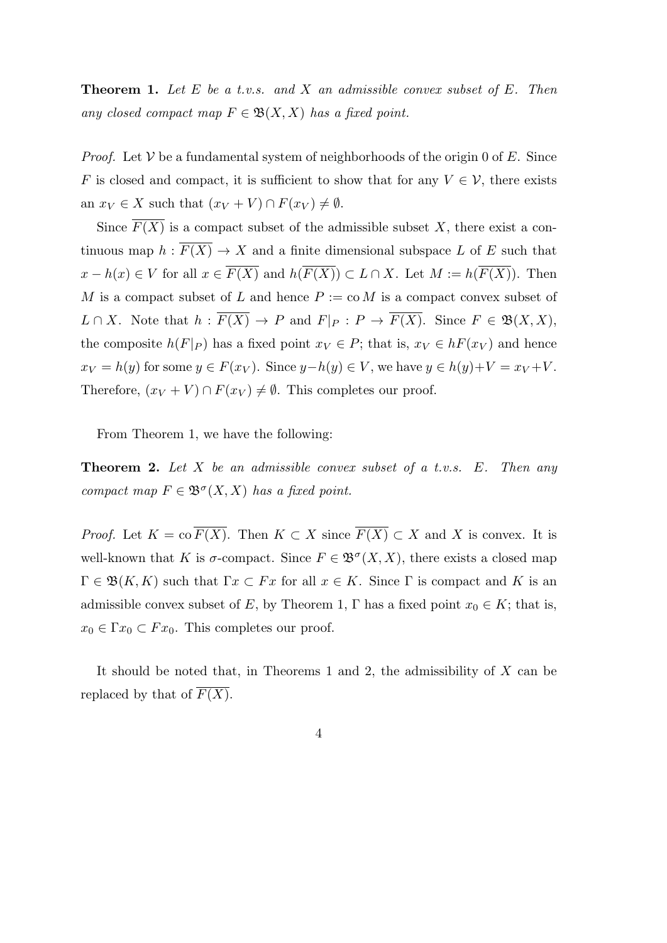**Theorem 1.** *Let E be a t.v.s. and X an admissible convex subset of E. Then any closed compact map*  $F \in \mathfrak{B}(X,X)$  *has a fixed point.* 

*Proof.* Let  $V$  be a fundamental system of neighborhoods of the origin 0 of  $E$ . Since *F* is closed and compact, it is sufficient to show that for any  $V \in V$ , there exists an  $x_V \in X$  such that  $(x_V + V) \cap F(x_V) \neq \emptyset$ .

Since  $F(X)$  is a compact subset of the admissible subset X, there exist a continuous map  $h: \overline{F(X)} \to X$  and a finite dimensional subspace L of E such that *x* − *h*(*x*)  $\in$  *V* for all *x*  $\in$   $\overline{F(X)}$  and  $h(\overline{F(X)}) \subset L \cap X$ . Let  $M := h(\overline{F(X)})$ . Then *M* is a compact subset of *L* and hence  $P := \text{co } M$  is a compact convex subset of  $L \cap X$ . Note that  $h: \overline{F(X)} \to P$  and  $F|_P: P \to \overline{F(X)}$ . Since  $F \in \mathfrak{B}(X,X)$ , the composite  $h(F|_P)$  has a fixed point  $x_V \in P$ ; that is,  $x_V \in hF(x_V)$  and hence  $x_V = h(y)$  for some  $y \in F(x_V)$ . Since  $y-h(y) \in V$ , we have  $y \in h(y)+V = x_V+V$ . Therefore,  $(x_V + V) \cap F(x_V) \neq \emptyset$ . This completes our proof.

From Theorem 1, we have the following:

**Theorem 2.** *Let X be an admissible convex subset of a t.v.s. E. Then any compact map*  $F \in \mathfrak{B}^{\sigma}(X,X)$  *has a fixed point.* 

*Proof.* Let  $K = \text{co }\overline{F(X)}$ . Then  $K \subset X$  since  $\overline{F(X)} \subset X$  and X is convex. It is well-known that *K* is  $\sigma$ -compact. Since  $F \in \mathfrak{B}^{\sigma}(X,X)$ , there exists a closed map  $\Gamma \in \mathfrak{B}(K,K)$  such that  $\Gamma x \subset F x$  for all  $x \in K$ . Since  $\Gamma$  is compact and K is an admissible convex subset of *E*, by Theorem 1,  $\Gamma$  has a fixed point  $x_0 \in K$ ; that is,  $x_0 \in \Gamma x_0 \subset F x_0$ . This completes our proof.

It should be noted that, in Theorems 1 and 2, the admissibility of *X* can be replaced by that of  $\overline{F(X)}$ .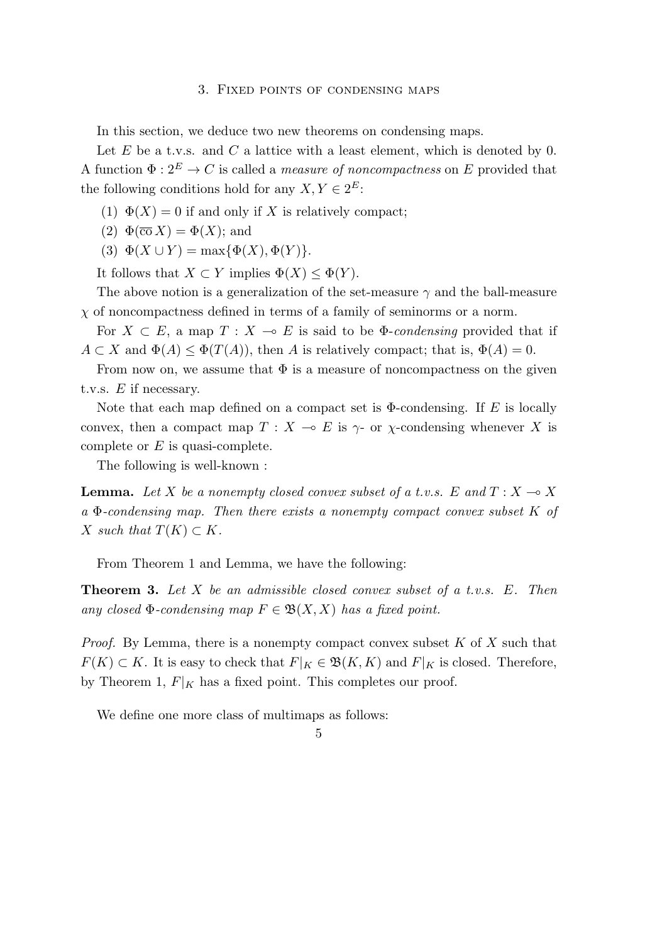#### 3. Fixed points of condensing maps

In this section, we deduce two new theorems on condensing maps.

Let *E* be a t.v.s. and *C* a lattice with a least element, which is denoted by 0. A function  $\Phi: 2^E \to C$  is called a *measure of noncompactness* on *E* provided that the following conditions hold for any  $X, Y \in 2^E$ :

- (1)  $\Phi(X) = 0$  if and only if X is relatively compact;
- (2)  $\Phi(\overline{co} X) = \Phi(X)$ ; and
- $(3) \Phi(X \cup Y) = \max{\Phi(X), \Phi(Y)}.$

It follows that  $X \subset Y$  implies  $\Phi(X) \leq \Phi(Y)$ .

The above notion is a generalization of the set-measure *γ* and the ball-measure *χ* of noncompactness defined in terms of a family of seminorms or a norm.

For  $X \subset E$ , a map  $T : X \to E$  is said to be  $\Phi$ -*condensing* provided that if  $A \subset X$  and  $\Phi(A) \leq \Phi(T(A))$ , then *A* is relatively compact; that is,  $\Phi(A) = 0$ .

From now on, we assume that  $\Phi$  is a measure of noncompactness on the given t.v.s. *E* if necessary.

Note that each map defined on a compact set is Φ-condensing. If *E* is locally convex, then a compact map  $T : X \to E$  is  $\gamma$ - or *χ*-condensing whenever X is complete or *E* is quasi-complete.

The following is well-known :

**Lemma.** Let *X* be a nonempty closed convex subset of a t.v.s. E and  $T: X \to X$ *a* Φ*-condensing map. Then there exists a nonempty compact convex subset K of*  $X$  *such that*  $T(K) \subset K$ *.* 

From Theorem 1 and Lemma, we have the following:

**Theorem 3.** *Let X be an admissible closed convex subset of a t.v.s. E. Then any closed*  $\Phi$ *-condensing map*  $F \in \mathfrak{B}(X,X)$  *has a fixed point.* 

*Proof.* By Lemma, there is a nonempty compact convex subset *K* of *X* such that *F*(*K*) ⊂ *K*. It is easy to check that  $F|_K$  ∈  $\mathfrak{B}(K,K)$  and  $F|_K$  is closed. Therefore, by Theorem 1,  $F|_K$  has a fixed point. This completes our proof.

We define one more class of multimaps as follows: